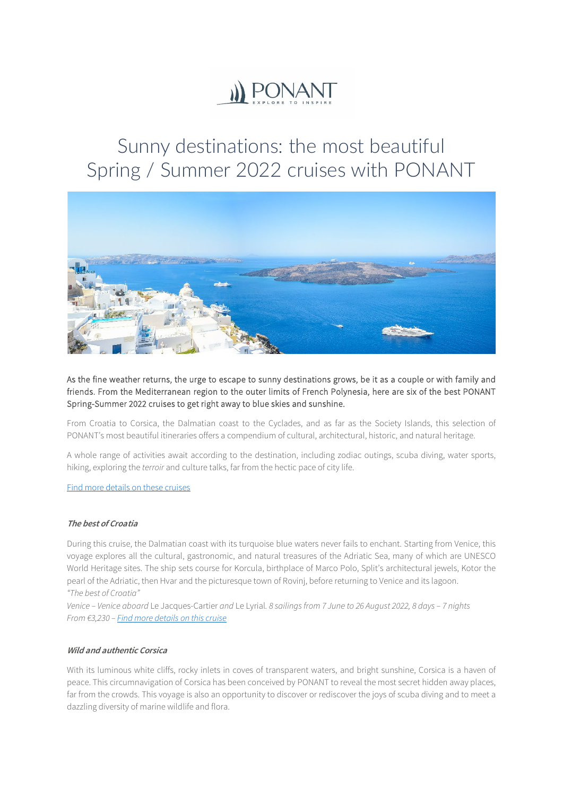

# Sunny destinations: the most beautiful Spring / Summer 2022 cruises with PONANT



As the fine weather returns, the urge to escape to sunny destinations grows, be it as a couple or with family and friends. From the Mediterranean region to the outer limits of French Polynesia, here are six of the best PONANT Spring-Summer 2022 cruises to get right away to blue skies and sunshine.

From Croatia to Corsica, the Dalmatian coast to the Cyclades, and as far as the Society Islands, this selection of PONANT's most beautiful itineraries offers a compendium of cultural, architectural, historic, and natural heritage.

A whole range of activities await according to the destination, including zodiac outings, scuba diving, water sports, hiking, exploring the *terroir* and culture talks, far from the hectic pace of city life.

Find [more details on these cruises](https://en.ponant.com/cruises?periode%5B%5D=2022_04&periode%5B%5D=2022_05&periode%5B%5D=2022_06&periode%5B%5D=2022_07&periode%5B%5D=2022_08&periode%5B%5D=2022_09&pred-facet-destination%5B%5D=OCEANIE&pred-facet-destination%5B%5D=EUSUDMED)

#### **The best of Croatia**

During this cruise, the Dalmatian coast with its turquoise blue waters never fails to enchant. Starting from Venice, this voyage explores all the cultural, gastronomic, and natural treasures of the Adriatic Sea, many of which are UNESCO World Heritage sites. The ship sets course for Korcula, birthplace of Marco Polo, Split's architectural jewels, Kotor the pearl of the Adriatic, then Hvar and the picturesque town of Rovinj, before returning to Venice and its lagoon. *"The best of Croatia"*

*Venice – Venice aboard* Le Jacques-Cartier *and* Le Lyrial*. 8 sailings from 7 June to 26 August 2022, 8 days – 7 nights From €3,230 [– Find more details on this cruise](https://en.ponant.com/the-mediterranean-the-best-of-croatia-x070622-9)*

### **Wild and authentic Corsica**

With its luminous white cliffs, rocky inlets in coves of transparent waters, and bright sunshine, Corsica is a haven of peace. This circumnavigation of Corsica has been conceived by PONANT to reveal the most secret hidden away places, far from the crowds. This voyage is also an opportunity to discover or rediscover the joys of scuba diving and to meet a dazzling diversity of marine wildlife and flora.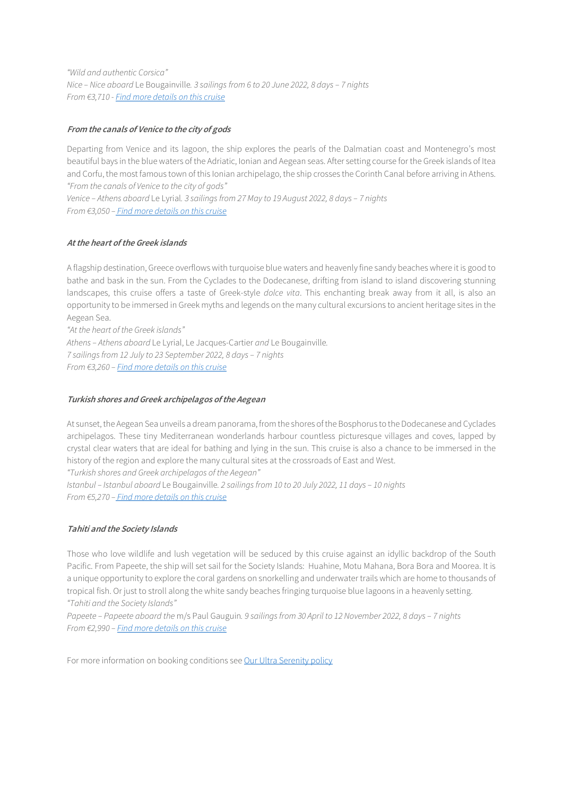*"Wild and authentic Corsica" Nice – Nice aboard* Le Bougainville*. 3 sailings from 6 to 20 June 2022, 8 days – 7 nights From €3,710 [- Find more details on](https://en.ponant.com/the-mediterranean-wild-and-authentic-corsica-g130622-9) this cruise*

## **From the canals of Venice to the city of gods**

Departing from Venice and its lagoon, the ship explores the pearls of the Dalmatian coast and Montenegro's most beautiful bays in the blue waters of the Adriatic, Ionian and Aegean seas. After setting course for the Greek islands of Itea and Corfu, the most famous town of this Ionian archipelago, the ship crosses the Corinth Canal before arriving in Athens. *"From the canals of Venice to the city of gods"* 

*Venice – Athens aboard* Le Lyrial*. 3 sailings from 27 May to 19 August 2022, 8 days – 7 nights From €3,050 – Find more details [on this cruise](https://en.ponant.com/the-mediterranean-from-the-canals-of-venice-to-the-city-of-gods-y270522-9)*

## **Atthe heart of the Greek islands**

A flagship destination, Greece overflows with turquoise blue waters and heavenly fine sandy beaches where it is good to bathe and bask in the sun. From the Cyclades to the Dodecanese, drifting from island to island discovering stunning landscapes, this cruise offers a taste of Greek-style *dolce vita*. This enchanting break away from it all, is also an opportunity to be immersed in Greek myths and legends on the many cultural excursions to ancient heritage sites in the Aegean Sea.

*"At the heart of the Greek islands" Athens – Athens aboard* Le Lyrial, Le Jacques-Cartier *and* Le Bougainville*. 7 sailings from 12 July to 23 September 2022, 8 days – 7 nights From €3,260 [– Find more details on this cruise](https://en.ponant.com/the-mediterranean-at-the-heart-of-the-greek-islands-y220722-9)*

### **Turkish shores and Greek archipelagos ofthe Aegean**

At sunset, the Aegean Sea unveils a dream panorama, from the shores of the Bosphorus to the Dodecanese and Cyclades archipelagos. These tiny Mediterranean wonderlands harbour countless picturesque villages and coves, lapped by crystal clear waters that are ideal for bathing and lying in the sun. This cruise is also a chance to be immersed in the history of the region and explore the many cultural sites at the crossroads of East and West.

*"Turkish shores and Greek archipelagos of the Aegean"* 

*Istanbul – Istanbul aboard* Le Bougainville*. 2 sailings from 10 to 20 July 2022, 11 days – 10 nights From €5,270 – [Find more details on this cruise](https://en.ponant.com/the-mediterranean-turkish-shores-and-greek-archipelagos-of-the-aegean-g100722-9)*

## **Tahiti and the Society Islands**

Those who love wildlife and lush vegetation will be seduced by this cruise against an idyllic backdrop of the South Pacific. From Papeete, the ship will set sail for the Society Islands: Huahine, Motu Mahana, Bora Bora and Moorea. It is a unique opportunity to explore the coral gardens on snorkelling and underwater trails which are home to thousands of tropical fish. Or just to stroll along the white sandy beaches fringing turquoise blue lagoons in a heavenly setting. *"Tahiti and the Society Islands"*

*Papeete – Papeete aboard the* m/s Paul Gauguin*. 9 sailings from 30 April to 12 November 2022, 8 days – 7 nights From €2,990 [– Find more details on this cruise](https://en.ponant.com/oceania-pacific-islands-tahiti-the-society-islands-pg060523-9)*

For more information on booking conditions see [Our Ultra Serenity policy](https://en.ponant.com/stress-free-booking-conditions)